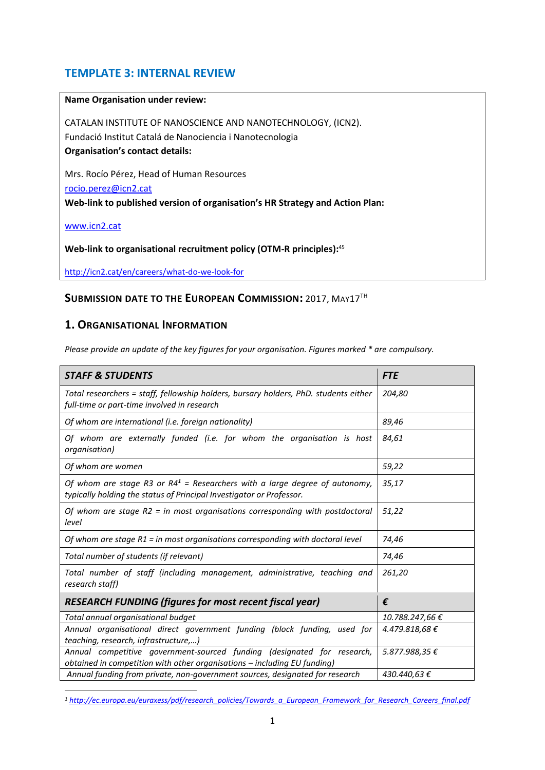# **TEMPLATE 3: INTERNAL REVIEW**

### **Name Organisation under review:**

CATALAN INSTITUTE OF NANOSCIENCE AND NANOTECHNOLOGY, (ICN2). Fundació Institut Catalá de Nanociencia i Nanotecnologia **Organisation's contact details:** 

Mrs. Rocío Pérez, Head of Human Resources [rocio.perez@icn2.cat](mailto:rocio.perez@icn2.cat) **Web-link to published version of organisation's HR Strategy and Action Plan:**

[www.icn2.cat](http://www.icn2.cat/)

1

**Web-link to organisational recruitment policy (OTM-R principles):** 45

<http://icn2.cat/en/careers/what-do-we-look-for>

## **SUBMISSION DATE TO THE EUROPEAN COMMISSION:** 2017, MAY17TH

## **1. ORGANISATIONAL INFORMATION**

*Please provide an update of the key figures for your organisation. Figures marked \* are compulsory.*

| <b>STAFF &amp; STUDENTS</b>                                                                                                                          | <b>FTE</b>     |
|------------------------------------------------------------------------------------------------------------------------------------------------------|----------------|
| Total researchers = staff, fellowship holders, bursary holders, PhD. students either<br>full-time or part-time involved in research                  | 204,80         |
| Of whom are international (i.e. foreign nationality)                                                                                                 | 89,46          |
| Of whom are externally funded (i.e. for whom the organisation is host<br>organisation)                                                               | 84,61          |
| Of whom are women                                                                                                                                    | 59,22          |
| Of whom are stage R3 or $R41$ = Researchers with a large degree of autonomy,<br>typically holding the status of Principal Investigator or Professor. | 35,17          |
| Of whom are stage $R2$ = in most organisations corresponding with postdoctoral<br>level                                                              | 51,22          |
| Of whom are stage $R1$ = in most organisations corresponding with doctoral level                                                                     | 74,46          |
| Total number of students (if relevant)                                                                                                               | 74,46          |
| Total number of staff (including management, administrative, teaching and<br>research staff)                                                         | 261,20         |
| <b>RESEARCH FUNDING (figures for most recent fiscal year)</b>                                                                                        | €              |
| Total annual organisational budget                                                                                                                   | 10.788.247,66€ |
| Annual organisational direct government funding (block funding, used for<br>teaching, research, infrastructure,)                                     | 4.479.818,68€  |
| Annual competitive government-sourced funding (designated for research,<br>obtained in competition with other organisations - including EU funding)  | 5.877.988,35€  |
| Annual funding from private, non-government sources, designated for research                                                                         | 430.440,63€    |

*<sup>1</sup> [http://ec.europa.eu/euraxess/pdf/research\\_policies/Towards\\_a\\_European\\_Framework\\_for\\_Research\\_Careers\\_final.pdf](http://ec.europa.eu/euraxess/pdf/research_policies/Towards_a_European_Framework_for_Research_Careers_final.pdf)*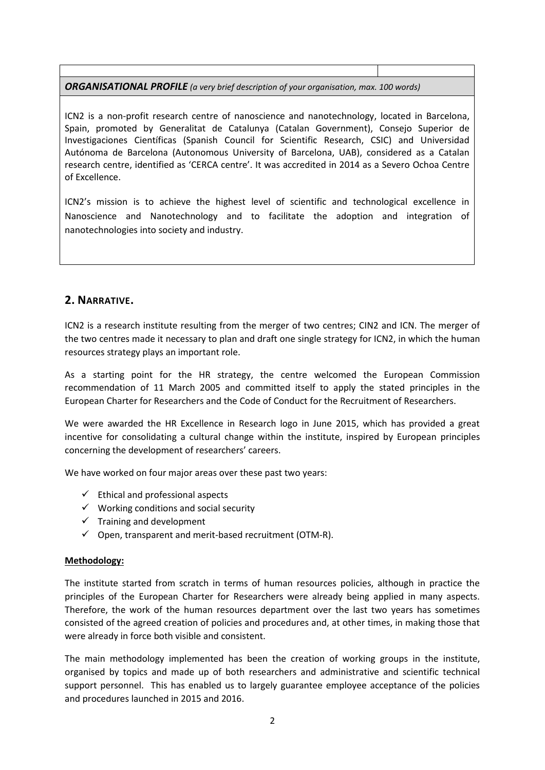| <b>ORGANISATIONAL PROFILE</b> (a very brief description of your organisation, max. 100 words) |  |
|-----------------------------------------------------------------------------------------------|--|
|-----------------------------------------------------------------------------------------------|--|

ICN2 is a non-profit research centre of nanoscience and nanotechnology, located in Barcelona, Spain, promoted by Generalitat de Catalunya (Catalan Government), Consejo Superior de Investigaciones Científicas (Spanish Council for Scientific Research, CSIC) and Universidad Autónoma de Barcelona (Autonomous University of Barcelona, UAB), considered as a Catalan research centre, identified as 'CERCA centre'. It was accredited in 2014 as a Severo Ochoa Centre of Excellence.

ICN2's mission is to achieve the highest level of scientific and technological excellence in Nanoscience and Nanotechnology and to facilitate the adoption and integration of nanotechnologies into society and industry.

# **2. NARRATIVE.**

ICN2 is a research institute resulting from the merger of two centres; CIN2 and ICN. The merger of the two centres made it necessary to plan and draft one single strategy for ICN2, in which the human resources strategy plays an important role.

As a starting point for the HR strategy, the centre welcomed the European Commission recommendation of 11 March 2005 and committed itself to apply the stated principles in the European Charter for Researchers and the Code of Conduct for the Recruitment of Researchers.

We were awarded the HR Excellence in Research logo in June 2015, which has provided a great incentive for consolidating a cultural change within the institute, inspired by European principles concerning the development of researchers' careers.

We have worked on four major areas over these past two years:

- $\checkmark$  Ethical and professional aspects
- $\checkmark$  Working conditions and social security
- $\checkmark$  Training and development
- $\checkmark$  Open, transparent and merit-based recruitment (OTM-R).

#### **Methodology:**

The institute started from scratch in terms of human resources policies, although in practice the principles of the European Charter for Researchers were already being applied in many aspects. Therefore, the work of the human resources department over the last two years has sometimes consisted of the agreed creation of policies and procedures and, at other times, in making those that were already in force both visible and consistent.

The main methodology implemented has been the creation of working groups in the institute, organised by topics and made up of both researchers and administrative and scientific technical support personnel. This has enabled us to largely guarantee employee acceptance of the policies and procedures launched in 2015 and 2016.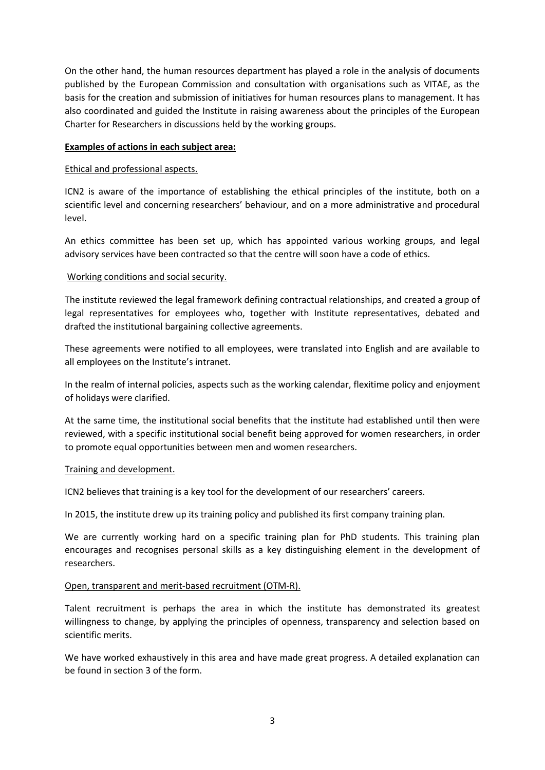On the other hand, the human resources department has played a role in the analysis of documents published by the European Commission and consultation with organisations such as VITAE, as the basis for the creation and submission of initiatives for human resources plans to management. It has also coordinated and guided the Institute in raising awareness about the principles of the European Charter for Researchers in discussions held by the working groups.

### **Examples of actions in each subject area:**

## Ethical and professional aspects.

ICN2 is aware of the importance of establishing the ethical principles of the institute, both on a scientific level and concerning researchers' behaviour, and on a more administrative and procedural level.

An ethics committee has been set up, which has appointed various working groups, and legal advisory services have been contracted so that the centre will soon have a code of ethics.

### Working conditions and social security.

The institute reviewed the legal framework defining contractual relationships, and created a group of legal representatives for employees who, together with Institute representatives, debated and drafted the institutional bargaining collective agreements.

These agreements were notified to all employees, were translated into English and are available to all employees on the Institute's intranet.

In the realm of internal policies, aspects such as the working calendar, flexitime policy and enjoyment of holidays were clarified.

At the same time, the institutional social benefits that the institute had established until then were reviewed, with a specific institutional social benefit being approved for women researchers, in order to promote equal opportunities between men and women researchers.

#### Training and development.

ICN2 believes that training is a key tool for the development of our researchers' careers.

In 2015, the institute drew up its training policy and published its first company training plan.

We are currently working hard on a specific training plan for PhD students. This training plan encourages and recognises personal skills as a key distinguishing element in the development of researchers.

#### Open, transparent and merit-based recruitment (OTM-R).

Talent recruitment is perhaps the area in which the institute has demonstrated its greatest willingness to change, by applying the principles of openness, transparency and selection based on scientific merits.

We have worked exhaustively in this area and have made great progress. A detailed explanation can be found in section 3 of the form.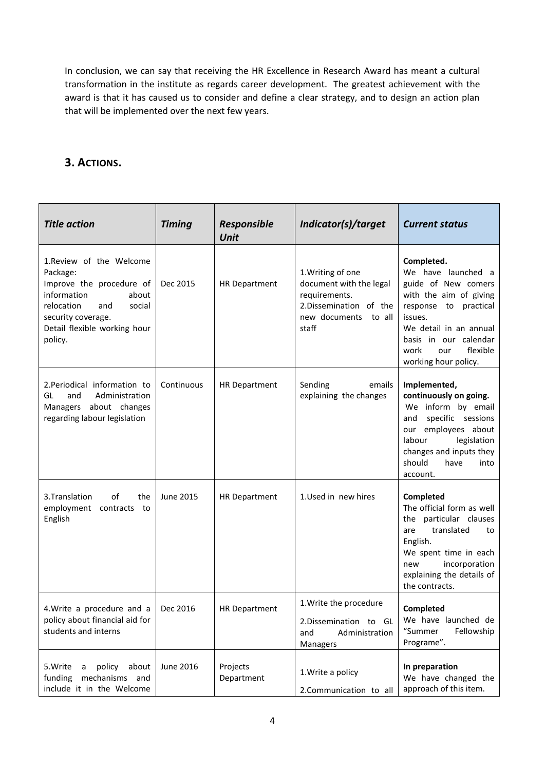In conclusion, we can say that receiving the HR Excellence in Research Award has meant a cultural transformation in the institute as regards career development. The greatest achievement with the award is that it has caused us to consider and define a clear strategy, and to design an action plan that will be implemented over the next few years.

# **3. ACTIONS.**

| <b>Title action</b>                                                                                                                                                                     | <b>Timing</b> | Responsible<br><b>Unit</b> | Indicator(s)/target                                                                                                      | <b>Current status</b>                                                                                                                                                                                                       |
|-----------------------------------------------------------------------------------------------------------------------------------------------------------------------------------------|---------------|----------------------------|--------------------------------------------------------------------------------------------------------------------------|-----------------------------------------------------------------------------------------------------------------------------------------------------------------------------------------------------------------------------|
| 1.Review of the Welcome<br>Package:<br>Improve the procedure of<br>information<br>about<br>relocation<br>social<br>and<br>security coverage.<br>Detail flexible working hour<br>policy. | Dec 2015      | <b>HR Department</b>       | 1. Writing of one<br>document with the legal<br>requirements.<br>2.Dissemination of the<br>new documents to all<br>staff | Completed.<br>We have launched a<br>guide of New comers<br>with the aim of giving<br>response to practical<br>issues.<br>We detail in an annual<br>basis in our calendar<br>flexible<br>work<br>our<br>working hour policy. |
| 2. Periodical information to<br>and<br>Administration<br>GL<br>Managers about changes<br>regarding labour legislation                                                                   | Continuous    | <b>HR Department</b>       | Sending<br>emails<br>explaining the changes                                                                              | Implemented,<br>continuously on going.<br>We inform by email<br>specific sessions<br>and<br>our employees about<br>labour<br>legislation<br>changes and inputs they<br>should<br>have<br>into<br>account.                   |
| 3. Translation<br>of<br>the<br>employment contracts<br>to<br>English                                                                                                                    | June 2015     | <b>HR Department</b>       | 1.Used in new hires                                                                                                      | Completed<br>The official form as well<br>the particular clauses<br>translated<br>are<br>to<br>English.<br>We spent time in each<br>incorporation<br>new<br>explaining the details of<br>the contracts.                     |
| 4. Write a procedure and a<br>policy about financial aid for<br>students and interns                                                                                                    | Dec 2016      | HR Department              | 1. Write the procedure<br>2.Dissemination to GL<br>Administration<br>and<br>Managers                                     | Completed<br>We have launched de<br>"Summer<br>Fellowship<br>Programe".                                                                                                                                                     |
| 5.Write<br>policy<br>about<br>a<br>funding<br>mechanisms and<br>include it in the Welcome                                                                                               | June 2016     | Projects<br>Department     | 1. Write a policy<br>2.Communication to all                                                                              | In preparation<br>We have changed the<br>approach of this item.                                                                                                                                                             |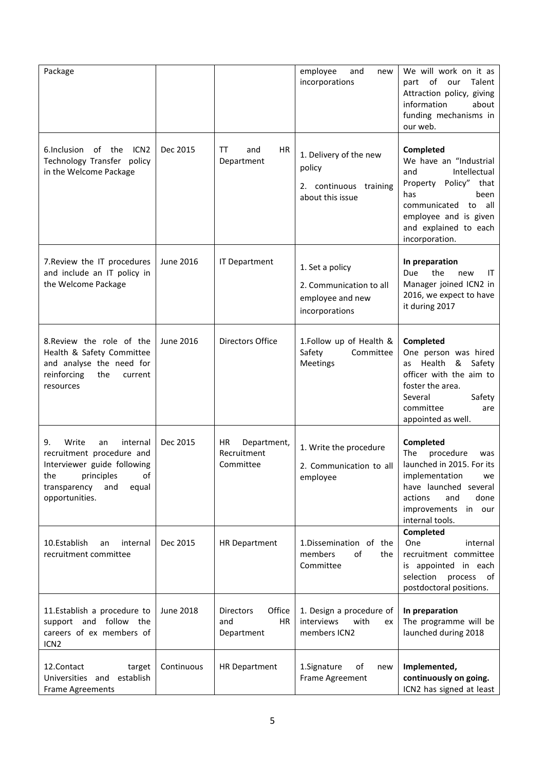| Package                                                                                                                                                                |                  |                                                              | employee<br>and<br>new<br>incorporations                                         | We will work on it as<br>of<br>our<br>Talent<br>part<br>Attraction policy, giving<br>information<br>about<br>funding mechanisms in<br>our web.                                                      |
|------------------------------------------------------------------------------------------------------------------------------------------------------------------------|------------------|--------------------------------------------------------------|----------------------------------------------------------------------------------|-----------------------------------------------------------------------------------------------------------------------------------------------------------------------------------------------------|
| 6.Inclusion<br>of the<br>ICN <sub>2</sub><br>Technology Transfer policy<br>in the Welcome Package                                                                      | Dec 2015         | ΗR<br>TT<br>and<br>Department                                | 1. Delivery of the new<br>policy<br>2. continuous training<br>about this issue   | Completed<br>We have an "Industrial<br>Intellectual<br>and<br>Property Policy" that<br>been<br>has<br>communicated<br>to<br>all<br>employee and is given<br>and explained to each<br>incorporation. |
| 7. Review the IT procedures<br>and include an IT policy in<br>the Welcome Package                                                                                      | <b>June 2016</b> | <b>IT Department</b>                                         | 1. Set a policy<br>2. Communication to all<br>employee and new<br>incorporations | In preparation<br>the<br>Due<br>new<br>ΙT<br>Manager joined ICN2 in<br>2016, we expect to have<br>it during 2017                                                                                    |
| 8. Review the role of the<br>Health & Safety Committee<br>and analyse the need for<br>reinforcing<br>the<br>current<br>resources                                       | June 2016        | Directors Office                                             | 1.Follow up of Health &<br>Committee<br>Safety<br>Meetings                       | Completed<br>One person was hired<br>as Health<br>&<br>Safety<br>officer with the aim to<br>foster the area.<br>Several<br>Safety<br>committee<br>are<br>appointed as well.                         |
| Write<br>9.<br>internal<br>an<br>recruitment procedure and<br>Interviewer guide following<br>the<br>principles<br>of<br>and<br>equal<br>transparency<br>opportunities. | Dec 2015         | HR<br>Department,<br>Recruitment<br>Committee                | 1. Write the procedure<br>2. Communication to all<br>employee                    | Completed<br>The<br>procedure<br>was<br>launched in 2015. For its<br>implementation<br>we<br>have launched several<br>actions<br>and<br>done<br>improvements<br>in our<br>internal tools.           |
| 10.Establish<br>internal<br>an<br>recruitment committee                                                                                                                | Dec 2015         | <b>HR Department</b>                                         | 1.Dissemination of the<br>members<br>of<br>the<br>Committee                      | Completed<br>One<br>internal<br>recruitment committee<br>is appointed in each<br>selection<br>process<br>of<br>postdoctoral positions.                                                              |
| 11. Establish a procedure to<br>support and follow the<br>careers of ex members of<br>ICN <sub>2</sub>                                                                 | June 2018        | Office<br><b>Directors</b><br><b>HR</b><br>and<br>Department | 1. Design a procedure of<br>interviews<br>with<br>ex<br>members ICN2             | In preparation<br>The programme will be<br>launched during 2018                                                                                                                                     |
| 12.Contact<br>target<br>Universities and<br>establish<br><b>Frame Agreements</b>                                                                                       | Continuous       | <b>HR Department</b>                                         | 1.Signature<br>of<br>new<br>Frame Agreement                                      | Implemented,<br>continuously on going.<br>ICN2 has signed at least                                                                                                                                  |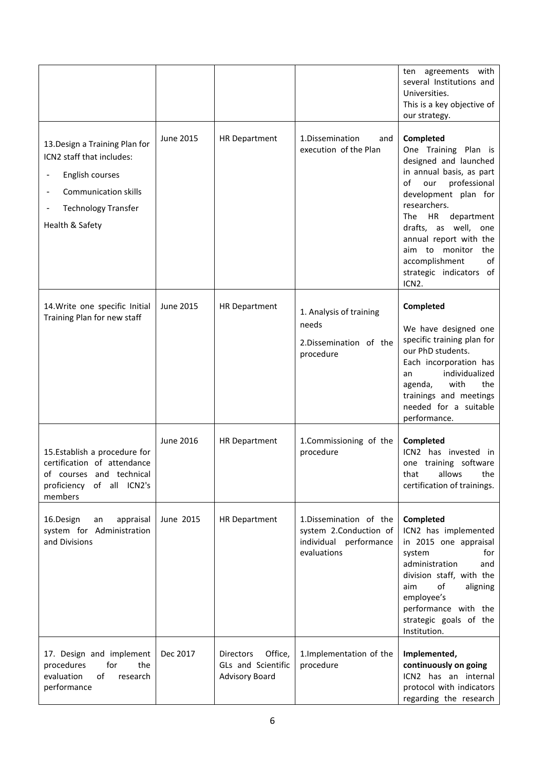|                                                                                                                                                                |                  |                                                                     |                                                                                           | ten agreements with<br>several Institutions and<br>Universities.<br>This is a key objective of<br>our strategy.                                                                                                                                                                                                                                   |
|----------------------------------------------------------------------------------------------------------------------------------------------------------------|------------------|---------------------------------------------------------------------|-------------------------------------------------------------------------------------------|---------------------------------------------------------------------------------------------------------------------------------------------------------------------------------------------------------------------------------------------------------------------------------------------------------------------------------------------------|
| 13. Design a Training Plan for<br>ICN2 staff that includes:<br>English courses<br><b>Communication skills</b><br><b>Technology Transfer</b><br>Health & Safety | June 2015        | <b>HR Department</b>                                                | 1.Dissemination<br>and<br>execution of the Plan                                           | Completed<br>One Training Plan is<br>designed and launched<br>in annual basis, as part<br>of<br>our<br>professional<br>development plan for<br>researchers.<br>The<br><b>HR</b><br>department<br>drafts, as well, one<br>annual report with the<br>aim to monitor<br>the<br>accomplishment<br>of<br>strategic indicators of<br>ICN <sub>2</sub> . |
| 14. Write one specific Initial<br>Training Plan for new staff                                                                                                  | <b>June 2015</b> | <b>HR Department</b>                                                | 1. Analysis of training<br>needs<br>2.Dissemination of the<br>procedure                   | Completed<br>We have designed one<br>specific training plan for<br>our PhD students.<br>Each incorporation has<br>individualized<br>an<br>with<br>agenda,<br>the<br>trainings and meetings<br>needed for a suitable<br>performance.                                                                                                               |
| 15.Establish a procedure for<br>certification of attendance<br>of courses and technical<br>of all ICN2's<br>proficiency<br>members                             | June 2016        | <b>HR Department</b>                                                | 1.Commissioning of the<br>procedure                                                       | Completed<br>ICN2 has invested in<br>one training software<br>allows<br>that<br>the<br>certification of trainings.                                                                                                                                                                                                                                |
| 16.Design<br>appraisal<br>an<br>system for Administration<br>and Divisions                                                                                     | June 2015        | <b>HR Department</b>                                                | 1.Dissemination of the<br>system 2.Conduction of<br>individual performance<br>evaluations | Completed<br>ICN2 has implemented<br>in 2015 one appraisal<br>system<br>for<br>administration<br>and<br>division staff, with the<br>of<br>aim<br>aligning<br>employee's<br>performance with the<br>strategic goals of the<br>Institution.                                                                                                         |
| 17. Design and implement<br>procedures<br>for<br>the<br>evaluation<br>of<br>research<br>performance                                                            | Dec 2017         | Office,<br>Directors<br>GLs and Scientific<br><b>Advisory Board</b> | 1. Implementation of the<br>procedure                                                     | Implemented,<br>continuously on going<br>ICN2 has an internal<br>protocol with indicators<br>regarding the research                                                                                                                                                                                                                               |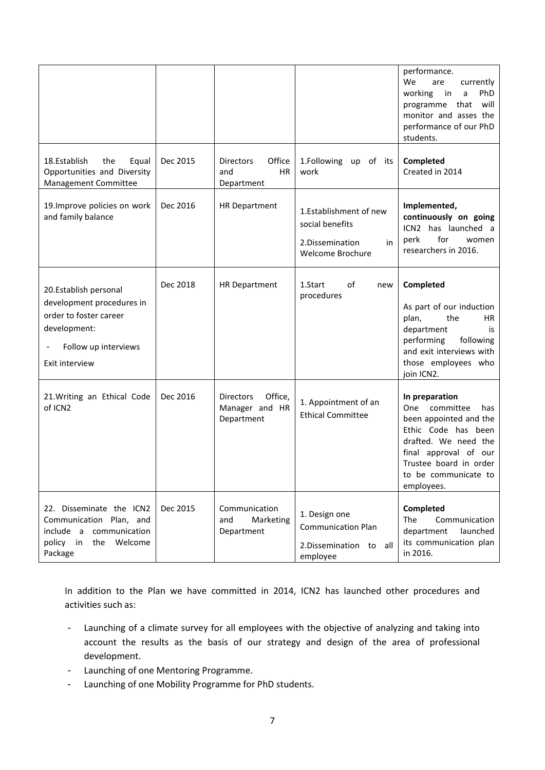|                                                                                                                                        |          |                                                       |                                                                                        | performance.<br>We<br>are<br>currently<br>working<br>PhD<br>a<br>in<br>that<br>will<br>programme<br>monitor and asses the<br>performance of our PhD<br>students.                                              |
|----------------------------------------------------------------------------------------------------------------------------------------|----------|-------------------------------------------------------|----------------------------------------------------------------------------------------|---------------------------------------------------------------------------------------------------------------------------------------------------------------------------------------------------------------|
| 18. Establish<br>the<br>Equal<br>Opportunities and Diversity<br>Management Committee                                                   | Dec 2015 | Office<br><b>Directors</b><br>HR<br>and<br>Department | 1.Following up of its<br>work                                                          | Completed<br>Created in 2014                                                                                                                                                                                  |
| 19. Improve policies on work<br>and family balance                                                                                     | Dec 2016 | <b>HR Department</b>                                  | 1.Establishment of new<br>social benefits<br>2.Dissemination<br>in<br>Welcome Brochure | Implemented,<br>continuously on going<br>ICN2 has launched a<br>for<br>perk<br>women<br>researchers in 2016.                                                                                                  |
| 20.Establish personal<br>development procedures in<br>order to foster career<br>development:<br>Follow up interviews<br>Exit interview | Dec 2018 | <b>HR Department</b>                                  | 1.Start<br>οf<br>new<br>procedures                                                     | Completed<br>As part of our induction<br>plan,<br>the<br>HR<br>department<br>is<br>performing<br>following<br>and exit interviews with<br>those employees who<br>join ICN2.                                   |
| 21. Writing an Ethical Code<br>of ICN <sub>2</sub>                                                                                     | Dec 2016 | Office,<br>Directors<br>Manager and HR<br>Department  | 1. Appointment of an<br><b>Ethical Committee</b>                                       | In preparation<br>committee<br>has<br>One .<br>been appointed and the<br>Ethic Code has been<br>drafted. We need the<br>final approval of our<br>Trustee board in order<br>to be communicate to<br>employees. |
| 22. Disseminate the ICN2<br>Communication Plan, and<br>include a<br>communication<br>Welcome<br>policy in<br>the<br>Package            | Dec 2015 | Communication<br>Marketing<br>and<br>Department       | 1. Design one<br><b>Communication Plan</b><br>2.Dissemination to all<br>employee       | Completed<br>The<br>Communication<br>department<br>launched<br>its communication plan<br>in 2016.                                                                                                             |

In addition to the Plan we have committed in 2014, ICN2 has launched other procedures and activities such as:

- Launching of a climate survey for all employees with the objective of analyzing and taking into account the results as the basis of our strategy and design of the area of professional development.
- Launching of one Mentoring Programme.
- Launching of one Mobility Programme for PhD students.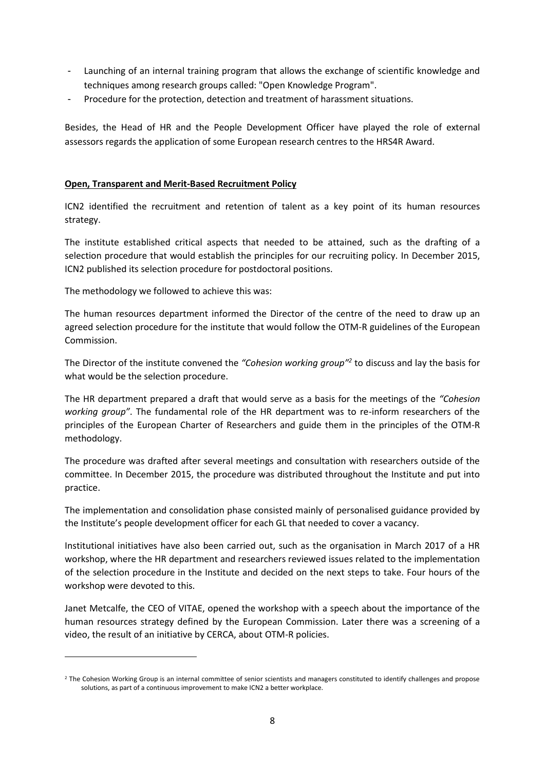- Launching of an internal training program that allows the exchange of scientific knowledge and techniques among research groups called: "Open Knowledge Program".
- Procedure for the protection, detection and treatment of harassment situations.

Besides, the Head of HR and the People Development Officer have played the role of external assessors regards the application of some European research centres to the HRS4R Award.

## **Open, Transparent and Merit-Based Recruitment Policy**

ICN2 identified the recruitment and retention of talent as a key point of its human resources strategy.

The institute established critical aspects that needed to be attained, such as the drafting of a selection procedure that would establish the principles for our recruiting policy. In December 2015, ICN2 published its selection procedure for postdoctoral positions.

The methodology we followed to achieve this was:

 $\overline{a}$ 

The human resources department informed the Director of the centre of the need to draw up an agreed selection procedure for the institute that would follow the OTM-R guidelines of the European Commission.

The Director of the institute convened the *"Cohesion working group" 2* to discuss and lay the basis for what would be the selection procedure.

The HR department prepared a draft that would serve as a basis for the meetings of the *"Cohesion working group"*. The fundamental role of the HR department was to re-inform researchers of the principles of the European Charter of Researchers and guide them in the principles of the OTM-R methodology.

The procedure was drafted after several meetings and consultation with researchers outside of the committee. In December 2015, the procedure was distributed throughout the Institute and put into practice.

The implementation and consolidation phase consisted mainly of personalised guidance provided by the Institute's people development officer for each GL that needed to cover a vacancy.

Institutional initiatives have also been carried out, such as the organisation in March 2017 of a HR workshop, where the HR department and researchers reviewed issues related to the implementation of the selection procedure in the Institute and decided on the next steps to take. Four hours of the workshop were devoted to this.

Janet Metcalfe, the CEO of VITAE, opened the workshop with a speech about the importance of the human resources strategy defined by the European Commission. Later there was a screening of a video, the result of an initiative by CERCA, about OTM-R policies.

<sup>&</sup>lt;sup>2</sup> The Cohesion Working Group is an internal committee of senior scientists and managers constituted to identify challenges and propose solutions, as part of a continuous improvement to make ICN2 a better workplace.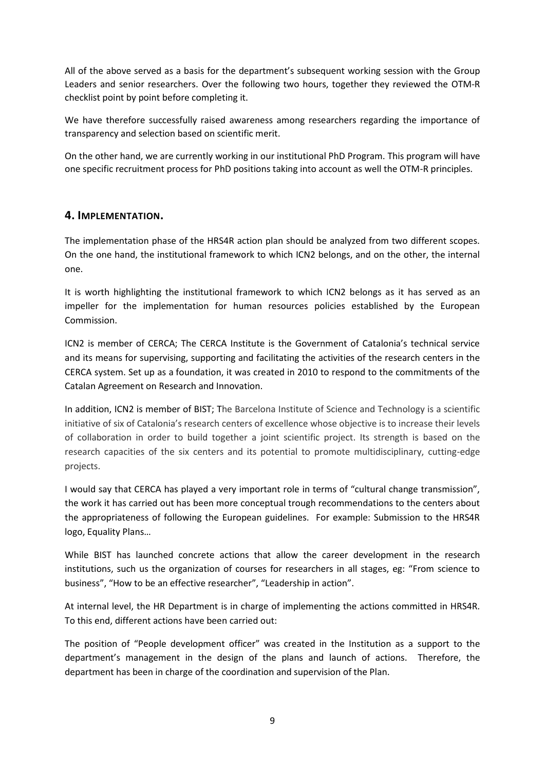All of the above served as a basis for the department's subsequent working session with the Group Leaders and senior researchers. Over the following two hours, together they reviewed the OTM-R checklist point by point before completing it.

We have therefore successfully raised awareness among researchers regarding the importance of transparency and selection based on scientific merit.

On the other hand, we are currently working in our institutional PhD Program. This program will have one specific recruitment process for PhD positions taking into account as well the OTM-R principles.

## **4. IMPLEMENTATION.**

The implementation phase of the HRS4R action plan should be analyzed from two different scopes. On the one hand, the institutional framework to which ICN2 belongs, and on the other, the internal one.

It is worth highlighting the institutional framework to which ICN2 belongs as it has served as an impeller for the implementation for human resources policies established by the European Commission.

ICN2 is member of CERCA; The CERCA Institute is the Government of Catalonia's technical service and its means for supervising, supporting and facilitating the activities of the research centers in the CERCA system. Set up as a foundation, it was created in 2010 to respond to the commitments of the Catalan Agreement on Research and Innovation.

In addition, ICN2 is member of BIST; The Barcelona Institute of Science and Technology is a scientific initiative of six of Catalonia's research centers of excellence whose objective is to increase their levels of collaboration in order to build together a joint scientific project. Its strength is based on the research capacities of the six centers and its potential to promote multidisciplinary, cutting-edge projects.

I would say that CERCA has played a very important role in terms of "cultural change transmission", the work it has carried out has been more conceptual trough recommendations to the centers about the appropriateness of following the European guidelines. For example: Submission to the HRS4R logo, Equality Plans…

While BIST has launched concrete actions that allow the career development in the research institutions, such us the organization of courses for researchers in all stages, eg: "From science to business", "How to be an effective researcher", "Leadership in action".

At internal level, the HR Department is in charge of implementing the actions committed in HRS4R. To this end, different actions have been carried out:

The position of "People development officer" was created in the Institution as a support to the department's management in the design of the plans and launch of actions. Therefore, the department has been in charge of the coordination and supervision of the Plan.